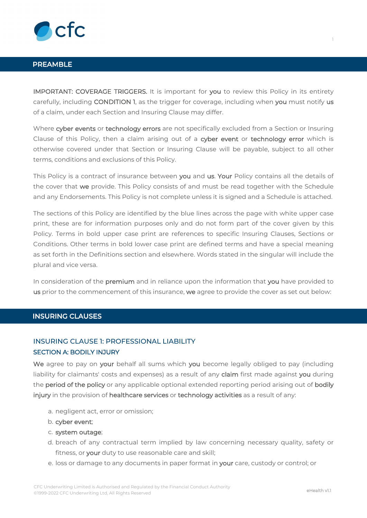

# **PREAMBLE**

**IMPORTANT: COVERAGE TRIGGERS.** It is important for **you** to review this Policy in its entirety carefully, including **CONDITION 1**, as the trigger for coverage, including when **you** must notify **us** of a claim, under each Section and Insuring Clause may differ.

Where **cyber events** or **technology errors** are not specifically excluded from a Section or Insuring Clause of this Policy, then a claim arising out of a **cyber event** or **technology error** which is otherwise covered under that Section or Insuring Clause will be payable, subject to all other terms, conditions and exclusions of this Policy.

This Policy is a contract of insurance between **you** and **us**. **Your** Policy contains all the details of the cover that **we** provide. This Policy consists of and must be read together with the Schedule and any Endorsements. This Policy is not complete unless it is signed and a Schedule is attached.

The sections of this Policy are identified by the blue lines across the page with white upper case print, these are for information purposes only and do not form part of the cover given by this Policy. Terms in bold upper case print are references to specific Insuring Clauses, Sections or Conditions. Other terms in bold lower case print are defined terms and have a special meaning as set forth in the Definitions section and elsewhere. Words stated in the singular will include the plural and vice versa.

In consideration of the **premium** and in reliance upon the information that **you** have provided to **us** prior to the commencement of this insurance, **we** agree to provide the cover as set out below:

# **INSURING CLAUSES**

# INSURING CLAUSE 1: PROFESSIONAL LIABILITY **SECTION A: BODILY INJURY**

**We** agree to pay on **your** behalf all sums which **you** become legally obliged to pay (including liability for claimants' costs and expenses) as a result of any **claim** first made against **you** during the **period of the policy** or any applicable optional extended reporting period arising out of **bodily injury** in the provision of **healthcare services** or **technology activities** as a result of any:

- a. negligent act, error or omission;
- b. **cyber event**;
- c. **system outage**;
- d. breach of any contractual term implied by law concerning necessary quality, safety or fitness, or **your** duty to use reasonable care and skill;
- e. loss or damage to any documents in paper format in **your** care, custody or control; or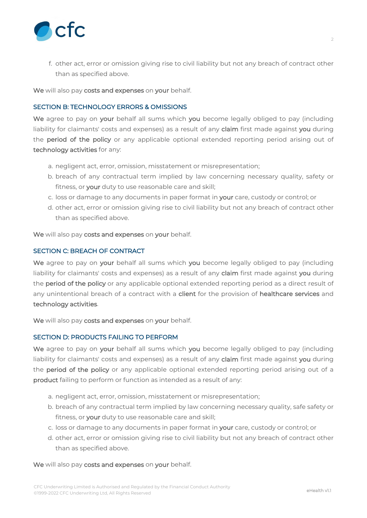

f. other act, error or omission giving rise to civil liability but not any breach of contract other than as specified above.

**We** will also pay **costs and expenses** on **your** behalf.

# **SECTION B: TECHNOLOGY ERRORS & OMISSIONS**

**We** agree to pay on **your** behalf all sums which **you** become legally obliged to pay (including liability for claimants' costs and expenses) as a result of any **claim** first made against **you** during the **period of the policy** or any applicable optional extended reporting period arising out of **technology activities** for any:

- a. negligent act, error, omission, misstatement or misrepresentation;
- b. breach of any contractual term implied by law concerning necessary quality, safety or fitness, or **your** duty to use reasonable care and skill;
- c. loss or damage to any documents in paper format in **your** care, custody or control; or
- d. other act, error or omission giving rise to civil liability but not any breach of contract other than as specified above.

**We** will also pay **costs and expenses** on **your** behalf.

# **SECTION C: BREACH OF CONTRACT**

**We** agree to pay on **your** behalf all sums which **you** become legally obliged to pay (including liability for claimants' costs and expenses) as a result of any **claim** first made against **you** during the **period of the policy** or any applicable optional extended reporting period as a direct result of any unintentional breach of a contract with a **client** for the provision of **healthcare services** and **technology activities**.

**We** will also pay **costs and expenses** on **your** behalf.

# **SECTION D: PRODUCTS FAILING TO PERFORM**

**We** agree to pay on **your** behalf all sums which **you** become legally obliged to pay (including liability for claimants' costs and expenses) as a result of any **claim** first made against **you** during the **period of the policy** or any applicable optional extended reporting period arising out of a **product** failing to perform or function as intended as a result of any:

- a. negligent act, error, omission, misstatement or misrepresentation;
- b. breach of any contractual term implied by law concerning necessary quality, safe safety or fitness, or **your** duty to use reasonable care and skill;
- c. loss or damage to any documents in paper format in **your** care, custody or control; or
- d. other act, error or omission giving rise to civil liability but not any breach of contract other than as specified above.

# **We** will also pay **costs and expenses** on **your** behalf.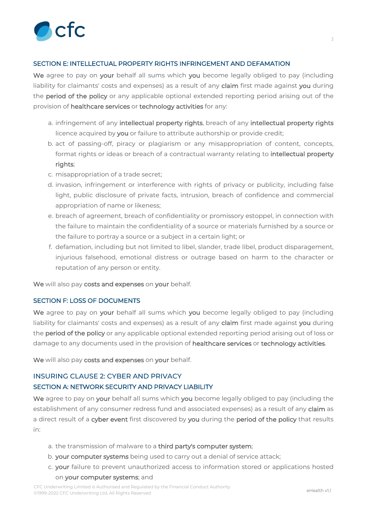

# **SECTION E: INTELLECTUAL PROPERTY RIGHTS INFRINGEMENT AND DEFAMATION**

**We** agree to pay on **your** behalf all sums which **you** become legally obliged to pay (including liability for claimants' costs and expenses) as a result of any **claim** first made against **you** during the **period of the policy** or any applicable optional extended reporting period arising out of the provision of **healthcare services** or **technology activities** for any:

- a. infringement of any **intellectual property rights**, breach of any **intellectual property rights** licence acquired by **you** or failure to attribute authorship or provide credit;
- b. act of passing-off, piracy or plagiarism or any misappropriation of content, concepts, format rights or ideas or breach of a contractual warranty relating to **intellectual property rights**;
- c. misappropriation of a trade secret;
- d. invasion, infringement or interference with rights of privacy or publicity, including false light, public disclosure of private facts, intrusion, breach of confidence and commercial appropriation of name or likeness;
- e. breach of agreement, breach of confidentiality or promissory estoppel, in connection with the failure to maintain the confidentiality of a source or materials furnished by a source or the failure to portray a source or a subject in a certain light; or
- f. defamation, including but not limited to libel, slander, trade libel, product disparagement, injurious falsehood, emotional distress or outrage based on harm to the character or reputation of any person or entity.

**We** will also pay **costs and expenses** on **your** behalf.

#### **SECTION F: LOSS OF DOCUMENTS**

**We** agree to pay on **your** behalf all sums which **you** become legally obliged to pay (including liability for claimants' costs and expenses) as a result of any **claim** first made against **you** during the **period of the policy** or any applicable optional extended reporting period arising out of loss or damage to any documents used in the provision of **healthcare services** or **technology activities**.

**We** will also pay **costs and expenses** on **your** behalf.

# INSURING CLAUSE 2: CYBER AND PRIVACY **SECTION A: NETWORK SECURITY AND PRIVACY LIABILITY**

**We** agree to pay on **your** behalf all sums which **you** become legally obliged to pay (including the establishment of any consumer redress fund and associated expenses) as a result of any **claim** as a direct result of a **cyber event** first discovered by **you** during the **period of the policy** that results in:

- a. the transmission of malware to a **third party's computer system**;
- b. **your computer systems** being used to carry out a denial of service attack;
- c. **your** failure to prevent unauthorized access to information stored or applications hosted on **your computer systems**; and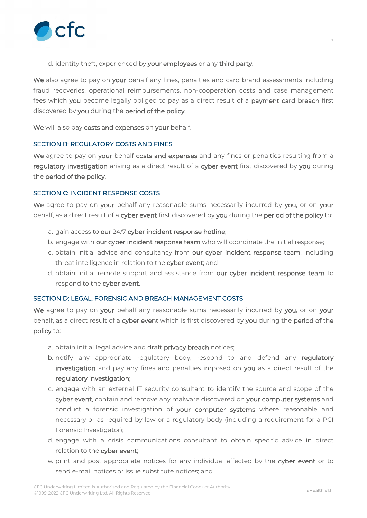

d. identity theft, experienced by **your employees** or any **third party**.

**We** also agree to pay on **your** behalf any fines, penalties and card brand assessments including fraud recoveries, operational reimbursements, non-cooperation costs and case management fees which **you** become legally obliged to pay as a direct result of a **payment card breach** first discovered by **you** during the **period of the policy**.

**We** will also pay **costs and expenses** on **your** behalf.

# **SECTION B: REGULATORY COSTS AND FINES**

**We** agree to pay on **your** behalf **costs and expenses** and any fines or penalties resulting from a **regulatory investigation** arising as a direct result of a **cyber event** first discovered by **you** during the **period of the policy**.

# **SECTION C: INCIDENT RESPONSE COSTS**

**We** agree to pay on **your** behalf any reasonable sums necessarily incurred by **you**, or on **your** behalf, as a direct result of a **cyber event** first discovered by **you** during the **period of the policy** to:

- a. gain access to **our** 24/7 **cyber incident response hotline**;
- b. engage with **our cyber incident response team** who will coordinate the initial response;
- c. obtain initial advice and consultancy from **our cyber incident response team**, including threat intelligence in relation to the **cyber event**; and
- d. obtain initial remote support and assistance from **our cyber incident response team** to respond to the **cyber event**.

# **SECTION D: LEGAL, FORENSIC AND BREACH MANAGEMENT COSTS**

**We** agree to pay on **your** behalf any reasonable sums necessarily incurred by **you**, or on **your** behalf, as a direct result of a **cyber event** which is first discovered by **you** during the **period of the policy** to:

- a. obtain initial legal advice and draft **privacy breach** notices;
- b. notify any appropriate regulatory body, respond to and defend any **regulatory investigation** and pay any fines and penalties imposed on **you** as a direct result of the **regulatory investigation**;
- c. engage with an external IT security consultant to identify the source and scope of the **cyber event**, contain and remove any malware discovered on **your computer systems** and conduct a forensic investigation of **your computer systems** where reasonable and necessary or as required by law or a regulatory body (including a requirement for a PCI Forensic Investigator);
- d. engage with a crisis communications consultant to obtain specific advice in direct relation to the **cyber event**;
- e. print and post appropriate notices for any individual affected by the **cyber event** or to send e-mail notices or issue substitute notices; and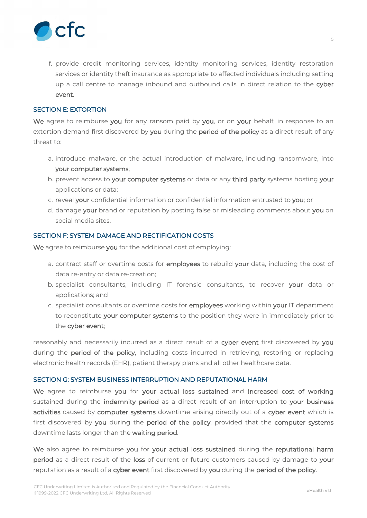

f. provide credit monitoring services, identity monitoring services, identity restoration services or identity theft insurance as appropriate to affected individuals including setting up a call centre to manage inbound and outbound calls in direct relation to the **cyber event**.

# **SECTION E: EXTORTION**

**We** agree to reimburse **you** for any ransom paid by **you**, or on **your** behalf, in response to an extortion demand first discovered by **you** during the **period of the policy** as a direct result of any threat to:

- a. introduce malware, or the actual introduction of malware, including ransomware, into **your computer systems**;
- b. prevent access to **your computer systems** or data or any **third party** systems hosting **your** applications or data;
- c. reveal **your** confidential information or confidential information entrusted to **you**; or
- d. damage **your** brand or reputation by posting false or misleading comments about **you** on social media sites.

# **SECTION F: SYSTEM DAMAGE AND RECTIFICATION COSTS**

**We** agree to reimburse **you** for the additional cost of employing:

- a. contract staff or overtime costs for **employees** to rebuild **your** data, including the cost of data re-entry or data re-creation;
- b. specialist consultants, including IT forensic consultants, to recover **your** data or applications; and
- c. specialist consultants or overtime costs for **employees** working within **your** IT department to reconstitute **your computer systems** to the position they were in immediately prior to the **cyber event**;

reasonably and necessarily incurred as a direct result of a **cyber event** first discovered by **you** during the **period of the policy**, including costs incurred in retrieving, restoring or replacing electronic health records (EHR), patient therapy plans and all other healthcare data.

# **SECTION G: SYSTEM BUSINESS INTERRUPTION AND REPUTATIONAL HARM**

**We** agree to reimburse **you** for **your actual loss sustained** and **increased cost of working** sustained during the **indemnity period** as a direct result of an interruption to **your business activities** caused by **computer systems** downtime arising directly out of a **cyber event** which is first discovered by **you** during the **period of the policy**, provided that the **computer systems** downtime lasts longer than the **waiting period**.

**We** also agree to reimburse **you** for **your actual loss sustained** during the **reputational harm period** as a direct result of the **loss** of current or future customers caused by damage to **your** reputation as a result of a **cyber event** first discovered by **you** during the **period of the policy**.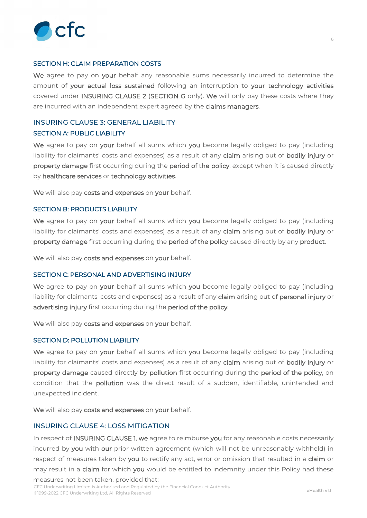

# **SECTION H: CLAIM PREPARATION COSTS**

**We** agree to pay on **your** behalf any reasonable sums necessarily incurred to determine the amount of **your actual loss sustained** following an interruption to **your technology activities** covered under **INSURING CLAUSE 2** (**SECTION G** only). **We** will only pay these costs where they are incurred with an independent expert agreed by the **claims managers**.

# INSURING CLAUSE 3: GENERAL LIABILITY **SECTION A: PUBLIC LIABILITY**

**We** agree to pay on **your** behalf all sums which **you** become legally obliged to pay (including liability for claimants' costs and expenses) as a result of any **claim** arising out of **bodily injury** or **property damage** first occurring during the **period of the policy**, except when it is caused directly by **healthcare services** or **technology activities**.

**We** will also pay **costs and expenses** on **your** behalf.

# **SECTION B: PRODUCTS LIABILITY**

**We** agree to pay on **your** behalf all sums which **you** become legally obliged to pay (including liability for claimants' costs and expenses) as a result of any **claim** arising out of **bodily injury** or **property damage** first occurring during the **period of the policy** caused directly by any **product**.

**We** will also pay **costs and expenses** on **your** behalf.

#### **SECTION C: PERSONAL AND ADVERTISING INJURY**

**We** agree to pay on **your** behalf all sums which **you** become legally obliged to pay (including liability for claimants' costs and expenses) as a result of any **claim** arising out of **personal injury** or **advertising injury** first occurring during the **period of the policy**.

**We** will also pay **costs and expenses** on **your** behalf.

#### **SECTION D: POLLUTION LIABILITY**

**We** agree to pay on **your** behalf all sums which **you** become legally obliged to pay (including liability for claimants' costs and expenses) as a result of any **claim** arising out of **bodily injury** or **property damage** caused directly by **pollution** first occurring during the **period of the policy**, on condition that the **pollution** was the direct result of a sudden, identifiable, unintended and unexpected incident.

**We** will also pay **costs and expenses** on **your** behalf.

#### INSURING CLAUSE 4: LOSS MITIGATION

In respect of **INSURING CLAUSE 1**, **we** agree to reimburse **you** for any reasonable costs necessarily incurred by **you** with **our** prior written agreement (which will not be unreasonably withheld) in respect of measures taken by **you** to rectify any act, error or omission that resulted in a **claim** or may result in a **claim** for which **you** would be entitled to indemnity under this Policy had these measures not been taken, provided that: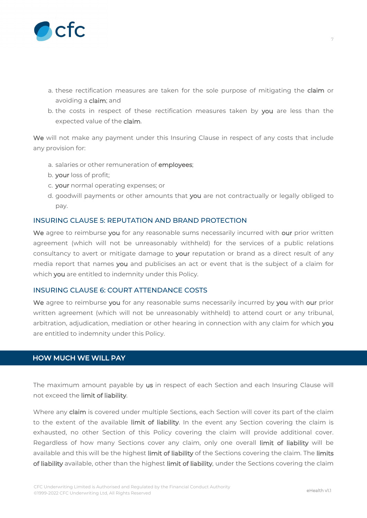

- a. these rectification measures are taken for the sole purpose of mitigating the **claim** or avoiding a **claim**; and
- b. the costs in respect of these rectification measures taken by **you** are less than the expected value of the **claim**.

**We** will not make any payment under this Insuring Clause in respect of any costs that include any provision for:

- a. salaries or other remuneration of **employees**;
- b. **your** loss of profit;
- c. **your** normal operating expenses; or
- d. goodwill payments or other amounts that **you** are not contractually or legally obliged to pay.

# INSURING CLAUSE 5: REPUTATION AND BRAND PROTECTION

**We** agree to reimburse **you** for any reasonable sums necessarily incurred with **our** prior written agreement (which will not be unreasonably withheld) for the services of a public relations consultancy to avert or mitigate damage to **your** reputation or brand as a direct result of any media report that names **you** and publicises an act or event that is the subject of a claim for which **you** are entitled to indemnity under this Policy.

#### INSURING CLAUSE 6: COURT ATTENDANCE COSTS

**We** agree to reimburse **you** for any reasonable sums necessarily incurred by **you** with **our** prior written agreement (which will not be unreasonably withheld) to attend court or any tribunal, arbitration, adjudication, mediation or other hearing in connection with any claim for which **you** are entitled to indemnity under this Policy.

# **HOW MUCH WE WILL PAY**

The maximum amount payable by **us** in respect of each Section and each Insuring Clause will not exceed the **limit of liability**.

Where any **claim** is covered under multiple Sections, each Section will cover its part of the claim to the extent of the available **limit of liability**. In the event any Section covering the claim is exhausted, no other Section of this Policy covering the claim will provide additional cover. Regardless of how many Sections cover any claim, only one overall **limit of liability** will be available and this will be the highest **limit of liability** of the Sections covering the claim. The **limits of liability** available, other than the highest **limit of liability**, under the Sections covering the claim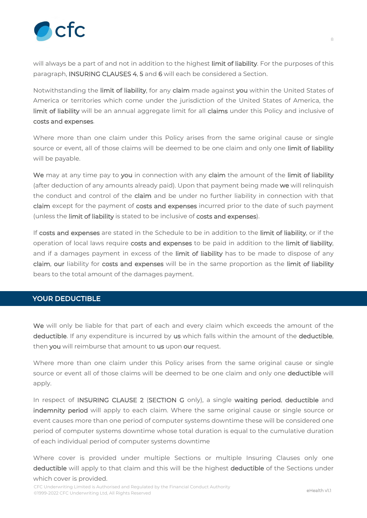

will always be a part of and not in addition to the highest **limit of liability**. For the purposes of this paragraph, **INSURING CLAUSES 4**, **5** and **6** will each be considered a Section.

Notwithstanding the **limit of liability**, for any **claim** made against **you** within the United States of America or territories which come under the jurisdiction of the United States of America, the **limit of liability** will be an annual aggregate limit for all **claims** under this Policy and inclusive of **costs and expenses**.

Where more than one claim under this Policy arises from the same original cause or single source or event, all of those claims will be deemed to be one claim and only one **limit of liability** will be payable.

**We** may at any time pay to **you** in connection with any **claim** the amount of the **limit of liability** (after deduction of any amounts already paid). Upon that payment being made **we** will relinquish the conduct and control of the **claim** and be under no further liability in connection with that **claim** except for the payment of **costs and expenses** incurred prior to the date of such payment (unless the **limit of liability** is stated to be inclusive of **costs and expenses**).

If **costs and expenses** are stated in the Schedule to be in addition to the **limit of liability**, or if the operation of local laws require **costs and expenses** to be paid in addition to the **limit of liability**, and if a damages payment in excess of the **limit of liability** has to be made to dispose of any **claim**, **our** liability for **costs and expenses** will be in the same proportion as the **limit of liability** bears to the total amount of the damages payment.

# **YOUR DEDUCTIBLE**

**We** will only be liable for that part of each and every claim which exceeds the amount of the **deductible**. If any expenditure is incurred by **us** which falls within the amount of the **deductible**, then **you** will reimburse that amount to **us** upon **our** request.

Where more than one claim under this Policy arises from the same original cause or single source or event all of those claims will be deemed to be one claim and only one **deductible** will apply.

In respect of **INSURING CLAUSE 2** (**SECTION G** only), a single **waiting period**, **deductible** and **indemnity period** will apply to each claim. Where the same original cause or single source or event causes more than one period of computer systems downtime these will be considered one period of computer systems downtime whose total duration is equal to the cumulative duration of each individual period of computer systems downtime

Where cover is provided under multiple Sections or multiple Insuring Clauses only one **deductible** will apply to that claim and this will be the highest **deductible** of the Sections under which cover is provided.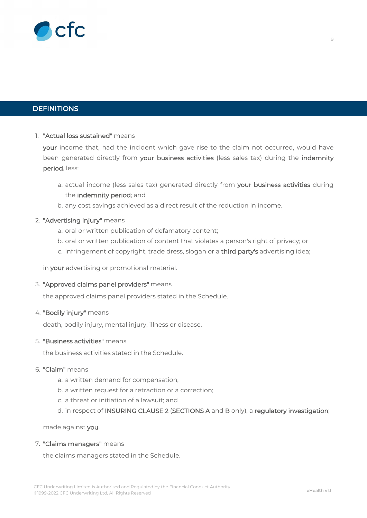

# **DEFINITIONS**

# 1. **"Actual loss sustained"** means

**your** income that, had the incident which gave rise to the claim not occurred, would have been generated directly from **your business activities** (less sales tax) during the **indemnity period**, less:

- a. actual income (less sales tax) generated directly from **your business activities** during the **indemnity period**; and
- b. any cost savings achieved as a direct result of the reduction in income.

# 2. **"Advertising injury"** means

- a. oral or written publication of defamatory content;
- b. oral or written publication of content that violates a person's right of privacy; or
- c. infringement of copyright, trade dress, slogan or a **third party's** advertising idea;

in **your** advertising or promotional material.

#### 3. **"Approved claims panel providers"** means

the approved claims panel providers stated in the Schedule.

#### 4. **"Bodily injury"** means

death, bodily injury, mental injury, illness or disease.

#### 5. **"Business activities"** means

the business activities stated in the Schedule.

#### 6. **"Claim"** means

- a. a written demand for compensation;
- b. a written request for a retraction or a correction;
- c. a threat or initiation of a lawsuit; and
- d. in respect of **INSURING CLAUSE 2** (**SECTIONS A** and **B** only), a **regulatory investigation**;

made against **you**.

#### 7. **"Claims managers"** means

the claims managers stated in the Schedule.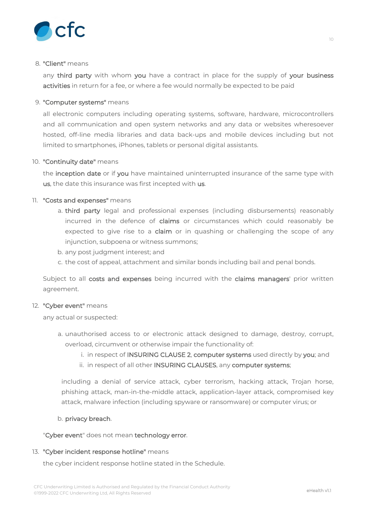

#### 8. **"Client"** means

any **third party** with whom **you** have a contract in place for the supply of **your business activities** in return for a fee, or where a fee would normally be expected to be paid

# 9. **"Computer systems"** means

all electronic computers including operating systems, software, hardware, microcontrollers and all communication and open system networks and any data or websites wheresoever hosted, off-line media libraries and data back-ups and mobile devices including but not limited to smartphones, iPhones, tablets or personal digital assistants.

# 10. **"Continuity date"** means

the **inception date** or if **you** have maintained uninterrupted insurance of the same type with **us**, the date this insurance was first incepted with **us**.

# 11. **"Costs and expenses"** means

- a. **third party** legal and professional expenses (including disbursements) reasonably incurred in the defence of **claims** or circumstances which could reasonably be expected to give rise to a **claim** or in quashing or challenging the scope of any injunction, subpoena or witness summons;
- b. any post judgment interest; and
- c. the cost of appeal, attachment and similar bonds including bail and penal bonds.

Subject to all **costs and expenses** being incurred with the **claims managers**' prior written agreement.

# 12. **"Cyber event"** means

any actual or suspected:

- a. unauthorised access to or electronic attack designed to damage, destroy, corrupt, overload, circumvent or otherwise impair the functionality of:
	- i. in respect of **INSURING CLAUSE 2**, **computer systems** used directly by **you**; and
	- ii. in respect of all other **INSURING CLAUSES**, any **computer systems**;

including a denial of service attack, cyber terrorism, hacking attack, Trojan horse, phishing attack, man-in-the-middle attack, application-layer attack, compromised key attack, malware infection (including spyware or ransomware) or computer virus; or

# b. **privacy breach**.

"**Cyber event**" does not mean **technology error**.

# 13. **"Cyber incident response hotline"** means

the cyber incident response hotline stated in the Schedule.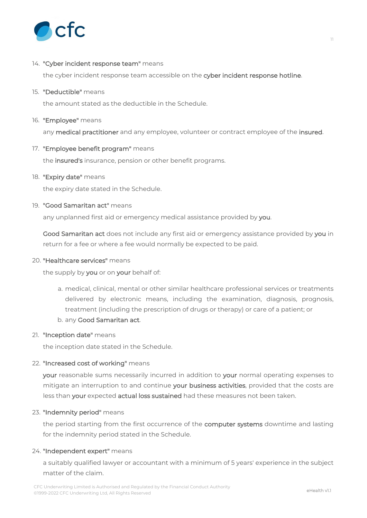

### 14. **"Cyber incident response team"** means

the cyber incident response team accessible on the **cyber incident response hotline**.

#### 15. **"Deductible"** means

the amount stated as the deductible in the Schedule.

#### 16. **"Employee"** means

any **medical practitioner** and any employee, volunteer or contract employee of the **insured**.

# 17. **"Employee benefit program"** means

the **insured's** insurance, pension or other benefit programs.

#### 18. **"Expiry date"** means

the expiry date stated in the Schedule.

# 19. **"Good Samaritan act"** means

any unplanned first aid or emergency medical assistance provided by **you**.

**Good Samaritan act** does not include any first aid or emergency assistance provided by **you** in return for a fee or where a fee would normally be expected to be paid.

#### 20. **"Healthcare services"** means

the supply by **you** or on **your** behalf of:

- a. medical, clinical, mental or other similar healthcare professional services or treatments delivered by electronic means, including the examination, diagnosis, prognosis, treatment (including the prescription of drugs or therapy) or care of a patient; or
- b. any **Good Samaritan act**.

#### 21. **"Inception date"** means

the inception date stated in the Schedule.

#### 22. **"Increased cost of working"** means

**your** reasonable sums necessarily incurred in addition to **your** normal operating expenses to mitigate an interruption to and continue **your business activities**, provided that the costs are less than **your** expected **actual loss sustained** had these measures not been taken.

#### 23. **"Indemnity period"** means

the period starting from the first occurrence of the **computer systems** downtime and lasting for the indemnity period stated in the Schedule.

#### 24. **"Independent expert"** means

a suitably qualified lawyer or accountant with a minimum of 5 years' experience in the subject matter of the claim.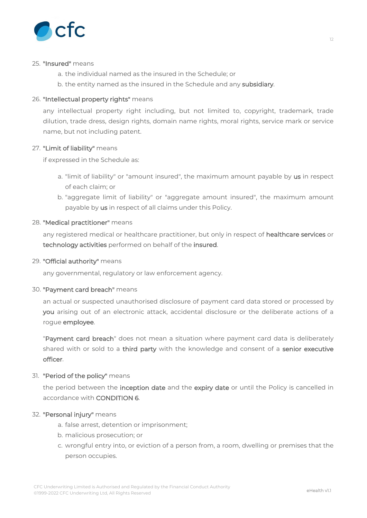

#### 25. **"Insured"** means

- a. the individual named as the insured in the Schedule; or
- b. the entity named as the insured in the Schedule and any **subsidiary**.

# 26. **"Intellectual property rights"** means

any intellectual property right including, but not limited to, copyright, trademark, trade dilution, trade dress, design rights, domain name rights, moral rights, service mark or service name, but not including patent.

# 27. **"Limit of liability"** means

if expressed in the Schedule as:

- a. "limit of liability" or "amount insured", the maximum amount payable by **us** in respect of each claim; or
- b. "aggregate limit of liability" or "aggregate amount insured", the maximum amount payable by **us** in respect of all claims under this Policy.

# 28. **"Medical practitioner"** means

any registered medical or healthcare practitioner, but only in respect of **healthcare services** or **technology activities** performed on behalf of the **insured**.

#### 29. **"Official authority"** means

any governmental, regulatory or law enforcement agency.

#### 30. **"Payment card breach"** means

an actual or suspected unauthorised disclosure of payment card data stored or processed by **you** arising out of an electronic attack, accidental disclosure or the deliberate actions of a rogue **employee**.

"**Payment card breach**" does not mean a situation where payment card data is deliberately shared with or sold to a **third party** with the knowledge and consent of a **senior executive officer**.

# 31. **"Period of the policy"** means

the period between the **inception date** and the **expiry date** or until the Policy is cancelled in accordance with **CONDITION 6**.

# 32. **"Personal injury"** means

- a. false arrest, detention or imprisonment;
- b. malicious prosecution; or
- c. wrongful entry into, or eviction of a person from, a room, dwelling or premises that the person occupies.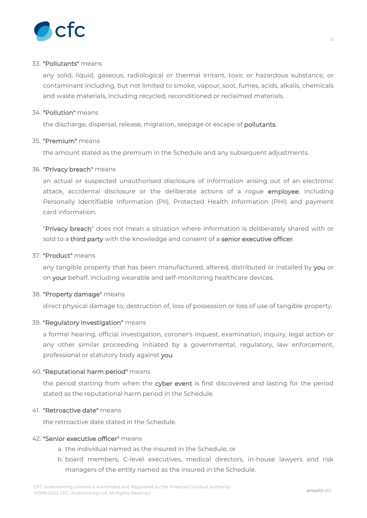

#### 33. **"Pollutants"** means

any solid, liquid, gaseous, radiological or thermal irritant, toxic or hazardous substance, or contaminant including, but not limited to smoke, vapour, soot, fumes, acids, alkalis, chemicals and waste materials, including recycled, reconditioned or reclaimed materials.

#### 34. **"Pollution"** means

the discharge, dispersal, release, migration, seepage or escape of **pollutants**.

#### 35. **"Premium"** means

the amount stated as the premium in the Schedule and any subsequent adjustments.

# 36. **"Privacy breach"** means

an actual or suspected unauthorised disclosure of information arising out of an electronic attack, accidental disclosure or the deliberate actions of a rogue **employee**, including Personally Identifiable Information (PII), Protected Health Information (PHI) and payment card information.

"**Privacy breach**" does not mean a situation where information is deliberately shared with or sold to a **third party** with the knowledge and consent of a **senior executive officer**.

#### 37. **"Product"** means

any tangible property that has been manufactured, altered, distributed or installed by **you** or on **your** behalf, including wearable and self-monitoring healthcare devices.

#### 38. **"Property damage"** means

direct physical damage to, destruction of, loss of possession or loss of use of tangible property.

#### 39. **"Regulatory investigation"** means

a formal hearing, official investigation, coroner's inquest, examination, inquiry, legal action or any other similar proceeding initiated by a governmental, regulatory, law enforcement, professional or statutory body against **you**.

# 40. **"Reputational harm period"** means

the period starting from when the **cyber event** is first discovered and lasting for the period stated as the reputational harm period in the Schedule.

#### 41. **"Retroactive date"** means

the retroactive date stated in the Schedule.

#### 42. **"Senior executive officer"** means

- a. the individual named as the insured in the Schedule; or
- b. board members, C-level executives, medical directors, in-house lawyers and risk managers of the entity named as the insured in the Schedule.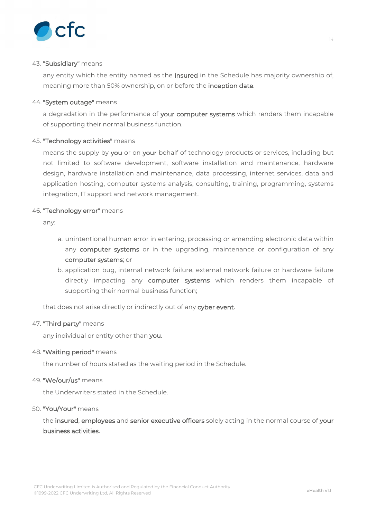

#### 43. **"Subsidiary"** means

any entity which the entity named as the **insured** in the Schedule has majority ownership of, meaning more than 50% ownership, on or before the **inception date**.

#### 44. **"System outage"** means

a degradation in the performance of **your computer systems** which renders them incapable of supporting their normal business function.

# 45. **"Technology activities"** means

means the supply by **you** or on **your** behalf of technology products or services, including but not limited to software development, software installation and maintenance, hardware design, hardware installation and maintenance, data processing, internet services, data and application hosting, computer systems analysis, consulting, training, programming, systems integration, IT support and network management.

# 46. **"Technology error"** means

any:

- a. unintentional human error in entering, processing or amending electronic data within any **computer systems** or in the upgrading, maintenance or configuration of any **computer systems**; or
- b. application bug, internal network failure, external network failure or hardware failure directly impacting any **computer systems** which renders them incapable of supporting their normal business function;

that does not arise directly or indirectly out of any **cyber event**.

#### 47. **"Third party"** means

any individual or entity other than **you**.

#### 48. **"Waiting period"** means

the number of hours stated as the waiting period in the Schedule.

#### 49. **"We/our/us"** means

the Underwriters stated in the Schedule.

#### 50. **"You/Your"** means

the **insured**, **employees** and **senior executive officers** solely acting in the normal course of **your business activities**.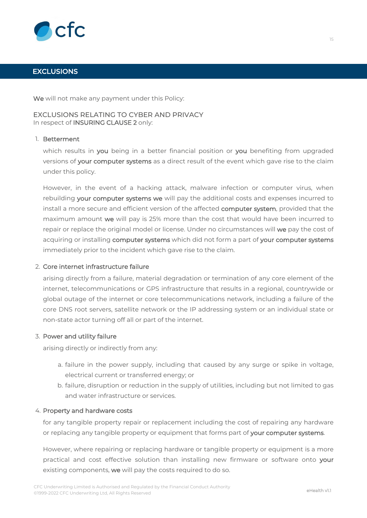

# **EXCLUSIONS**

**We** will not make any payment under this Policy:

# EXCLUSIONS RELATING TO CYBER AND PRIVACY In respect of **INSURING CLAUSE 2** only:

#### 1. **Betterment**

which results in **you** being in a better financial position or **you** benefiting from upgraded versions of **your computer systems** as a direct result of the event which gave rise to the claim under this policy.

However, in the event of a hacking attack, malware infection or computer virus, when rebuilding **your computer systems we** will pay the additional costs and expenses incurred to install a more secure and efficient version of the affected **computer system**, provided that the maximum amount **we** will pay is 25% more than the cost that would have been incurred to repair or replace the original model or license. Under no circumstances will **we** pay the cost of acquiring or installing **computer systems** which did not form a part of **your computer systems** immediately prior to the incident which gave rise to the claim.

#### 2. **Core internet infrastructure failure**

arising directly from a failure, material degradation or termination of any core element of the internet, telecommunications or GPS infrastructure that results in a regional, countrywide or global outage of the internet or core telecommunications network, including a failure of the core DNS root servers, satellite network or the IP addressing system or an individual state or non-state actor turning off all or part of the internet.

#### 3. **Power and utility failure**

arising directly or indirectly from any:

- a. failure in the power supply, including that caused by any surge or spike in voltage, electrical current or transferred energy; or
- b. failure, disruption or reduction in the supply of utilities, including but not limited to gas and water infrastructure or services.

#### 4. **Property and hardware costs**

for any tangible property repair or replacement including the cost of repairing any hardware or replacing any tangible property or equipment that forms part of **your computer systems**.

However, where repairing or replacing hardware or tangible property or equipment is a more practical and cost effective solution than installing new firmware or software onto **your** existing components, **we** will pay the costs required to do so.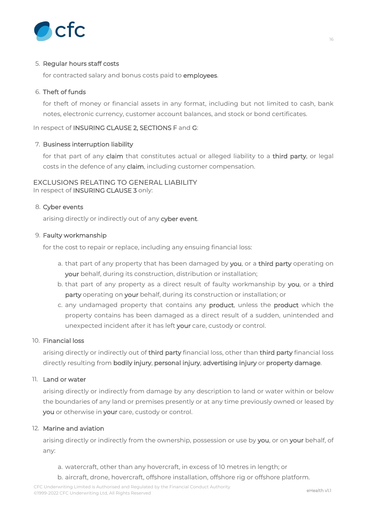

# 5. **Regular hours staff costs**

for contracted salary and bonus costs paid to **employees**.

# 6. **Theft of funds**

for theft of money or financial assets in any format, including but not limited to cash, bank notes, electronic currency, customer account balances, and stock or bond certificates.

# In respect of **INSURING CLAUSE 2, SECTIONS F** and **G**:

# 7. **Business interruption liability**

for that part of any **claim** that constitutes actual or alleged liability to a **third party**, or legal costs in the defence of any **claim**, including customer compensation.

# EXCLUSIONS RELATING TO GENERAL LIABILITY In respect of **INSURING CLAUSE 3** only:

# 8. **Cyber events**

arising directly or indirectly out of any **cyber event**.

# 9. **Faulty workmanship**

for the cost to repair or replace, including any ensuing financial loss:

- a. that part of any property that has been damaged by **you**, or a **third party** operating on **your** behalf, during its construction, distribution or installation;
- b. that part of any property as a direct result of faulty workmanship by **you**, or a **third party** operating on **your** behalf, during its construction or installation; or
- c. any undamaged property that contains any **product**, unless the **product** which the property contains has been damaged as a direct result of a sudden, unintended and unexpected incident after it has left **your** care, custody or control.

#### 10. **Financial loss**

arising directly or indirectly out of **third party** financial loss, other than **third party** financial loss directly resulting from **bodily injury**, **personal injury**, **advertising injury** or **property damage**.

# 11. **Land or water**

arising directly or indirectly from damage by any description to land or water within or below the boundaries of any land or premises presently or at any time previously owned or leased by **you** or otherwise in **your** care, custody or control.

#### 12. **Marine and aviation**

arising directly or indirectly from the ownership, possession or use by **you**, or on **your** behalf, of any:

- a. watercraft, other than any hovercraft, in excess of 10 metres in length; or
- b. aircraft, drone, hovercraft, offshore installation, offshore rig or offshore platform.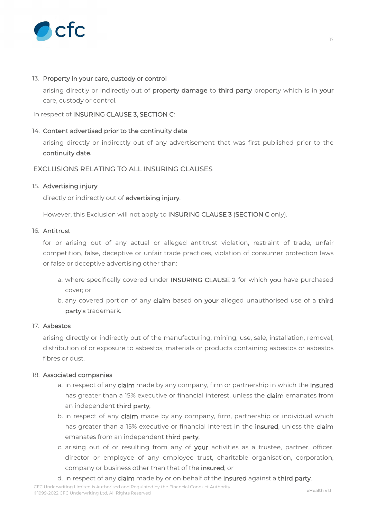

#### 13. **Property in your care, custody or control**

arising directly or indirectly out of **property damage** to **third party** property which is in **your** care, custody or control.

# In respect of **INSURING CLAUSE 3, SECTION C**:

# 14. **Content advertised prior to the continuity date**

arising directly or indirectly out of any advertisement that was first published prior to the **continuity date**.

# EXCLUSIONS RELATING TO ALL INSURING CLAUSES

# 15. **Advertising injury**

directly or indirectly out of **advertising injury**.

However, this Exclusion will not apply to **INSURING CLAUSE 3** (**SECTION C** only).

#### 16. **Antitrust**

for or arising out of any actual or alleged antitrust violation, restraint of trade, unfair competition, false, deceptive or unfair trade practices, violation of consumer protection laws or false or deceptive advertising other than:

- a. where specifically covered under **INSURING CLAUSE 2** for which **you** have purchased cover; or
- b. any covered portion of any **claim** based on **your** alleged unauthorised use of a **third party's** trademark.

#### 17. **Asbestos**

arising directly or indirectly out of the manufacturing, mining, use, sale, installation, removal, distribution of or exposure to asbestos, materials or products containing asbestos or asbestos fibres or dust.

#### 18. **Associated companies**

- a. in respect of any **claim** made by any company, firm or partnership in which the **insured** has greater than a 15% executive or financial interest, unless the **claim** emanates from an independent **third party**;
- b. in respect of any **claim** made by any company, firm, partnership or individual which has greater than a 15% executive or financial interest in the **insured**, unless the **claim** emanates from an independent **third party**;
- c. arising out of or resulting from any of **your** activities as a trustee, partner, officer, director or employee of any employee trust, charitable organisation, corporation, company or business other than that of the **insured**; or
- d. in respect of any **claim** made by or on behalf of the **insured** against a **third party**.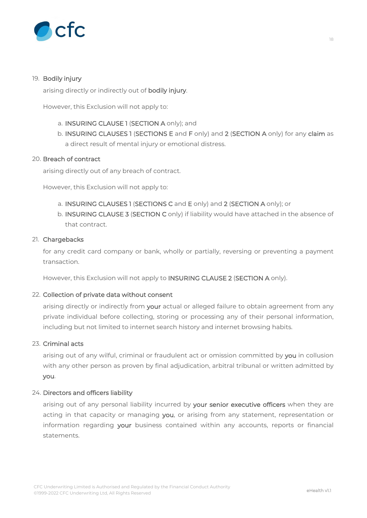

# 19. **Bodily injury**

arising directly or indirectly out of **bodily injury**.

However, this Exclusion will not apply to:

- a. **INSURING CLAUSE 1** (**SECTION A** only); and
- b. **INSURING CLAUSES 1** (**SECTIONS E** and **F** only) and **2** (**SECTION A** only) for any **claim** as a direct result of mental injury or emotional distress.

#### 20. **Breach of contract**

arising directly out of any breach of contract.

However, this Exclusion will not apply to:

- a. **INSURING CLAUSES 1** (**SECTIONS C** and **E** only) and **2** (**SECTION A** only); or
- b. **INSURING CLAUSE 3** (**SECTION C** only) if liability would have attached in the absence of that contract.

# 21. **Chargebacks**

for any credit card company or bank, wholly or partially, reversing or preventing a payment transaction.

However, this Exclusion will not apply to **INSURING CLAUSE 2** (**SECTION A** only).

#### 22. **Collection of private data without consent**

arising directly or indirectly from **your** actual or alleged failure to obtain agreement from any private individual before collecting, storing or processing any of their personal information, including but not limited to internet search history and internet browsing habits.

#### 23. **Criminal acts**

arising out of any wilful, criminal or fraudulent act or omission committed by **you** in collusion with any other person as proven by final adjudication, arbitral tribunal or written admitted by **you**.

#### 24. **Directors and officers liability**

arising out of any personal liability incurred by **your senior executive officers** when they are acting in that capacity or managing **you**, or arising from any statement, representation or information regarding **your** business contained within any accounts, reports or financial statements.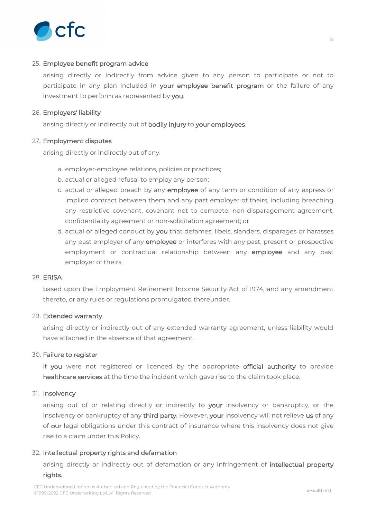

# 25. **Employee benefit program advice**

arising directly or indirectly from advice given to any person to participate or not to participate in any plan included in **your employee benefit program** or the failure of any investment to perform as represented by **you**.

# 26. **Employers' liability**

arising directly or indirectly out of **bodily injury** to **your employees**.

# 27. **Employment disputes**

arising directly or indirectly out of any:

- a. employer-employee relations, policies or practices;
- b. actual or alleged refusal to employ any person;
- c. actual or alleged breach by any **employee** of any term or condition of any express or implied contract between them and any past employer of theirs, including breaching any restrictive covenant, covenant not to compete, non-disparagement agreement, confidentiality agreement or non-solicitation agreement; or
- d. actual or alleged conduct by **you** that defames, libels, slanders, disparages or harasses any past employer of any **employee** or interferes with any past, present or prospective employment or contractual relationship between any **employee** and any past employer of theirs.

#### 28. **ERISA**

based upon the Employment Retirement Income Security Act of 1974, and any amendment thereto, or any rules or regulations promulgated thereunder.

#### 29. **Extended warranty**

arising directly or indirectly out of any extended warranty agreement, unless liability would have attached in the absence of that agreement.

#### 30. **Failure to register**

if **you** were not registered or licenced by the appropriate **official authority** to provide **healthcare services** at the time the incident which gave rise to the claim took place.

#### 31. **Insolvency**

arising out of or relating directly or indirectly to **your** insolvency or bankruptcy, or the insolvency or bankruptcy of any **third party**. However, **your** insolvency will not relieve **us** of any of **our** legal obligations under this contract of insurance where this insolvency does not give rise to a claim under this Policy.

#### 32. **Intellectual property rights and defamation**

arising directly or indirectly out of defamation or any infringement of **intellectual property rights**.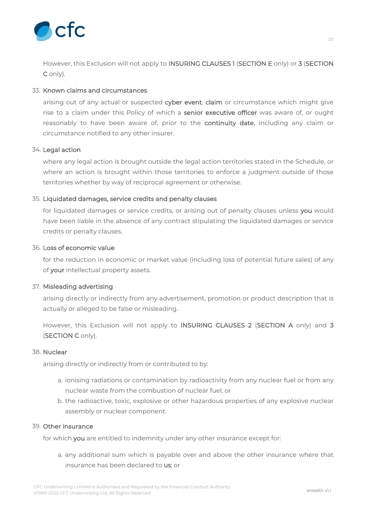

However, this Exclusion will not apply to **INSURING CLAUSES 1** (**SECTION E** only) or **3** (**SECTION C** only).

# 33. **Known claims and circumstances**

arising out of any actual or suspected **cyber event**, **claim** or circumstance which might give rise to a claim under this Policy of which a **senior executive officer** was aware of, or ought reasonably to have been aware of, prior to the **continuity date**, including any claim or circumstance notified to any other insurer.

#### 34. **Legal action**

where any legal action is brought outside the legal action territories stated in the Schedule, or where an action is brought within those territories to enforce a judgment outside of those territories whether by way of reciprocal agreement or otherwise.

# 35. **Liquidated damages, service credits and penalty clauses**

for liquidated damages or service credits, or arising out of penalty clauses unless **you** would have been liable in the absence of any contract stipulating the liquidated damages or service credits or penalty clauses.

#### 36. **Loss of economic value**

for the reduction in economic or market value (including loss of potential future sales) of any of **your** intellectual property assets.

#### 37. **Misleading advertising**

arising directly or indirectly from any advertisement, promotion or product description that is actually or alleged to be false or misleading.

However, this Exclusion will not apply to **INSURING CLAUSES 2** (**SECTION A** only) and **3** (**SECTION C** only).

#### 38. **Nuclear**

arising directly or indirectly from or contributed to by:

- a. ionising radiations or contamination by radioactivity from any nuclear fuel or from any nuclear waste from the combustion of nuclear fuel; or
- b. the radioactive, toxic, explosive or other hazardous properties of any explosive nuclear assembly or nuclear component.

#### 39. **Other insurance**

for which **you** are entitled to indemnity under any other insurance except for:

a. any additional sum which is payable over and above the other insurance where that insurance has been declared to **us**; or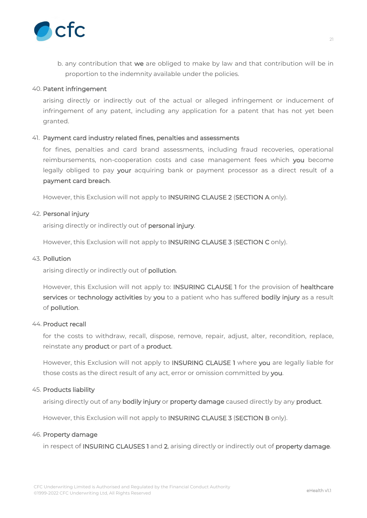

b. any contribution that **we** are obliged to make by law and that contribution will be in proportion to the indemnity available under the policies.

#### 40. **Patent infringement**

arising directly or indirectly out of the actual or alleged infringement or inducement of infringement of any patent, including any application for a patent that has not yet been granted.

# 41. **Payment card industry related fines, penalties and assessments**

for fines, penalties and card brand assessments, including fraud recoveries, operational reimbursements, non-cooperation costs and case management fees which **you** become legally obliged to pay **your** acquiring bank or payment processor as a direct result of a **payment card breach**.

However, this Exclusion will not apply to **INSURING CLAUSE 2** (**SECTION A** only).

#### 42. **Personal injury**

arising directly or indirectly out of **personal injury**.

However, this Exclusion will not apply to **INSURING CLAUSE 3** (**SECTION C** only).

#### 43. **Pollution**

arising directly or indirectly out of **pollution**.

However, this Exclusion will not apply to: **INSURING CLAUSE 1** for the provision of **healthcare services** or **technology activities** by **you** to a patient who has suffered **bodily injury** as a result of **pollution**.

#### 44. **Product recall**

for the costs to withdraw, recall, dispose, remove, repair, adjust, alter, recondition, replace, reinstate any **product** or part of a **product**.

However, this Exclusion will not apply to **INSURING CLAUSE 1** where **you** are legally liable for those costs as the direct result of any act, error or omission committed by **you**.

#### 45. **Products liability**

arising directly out of any **bodily injury** or **property damage** caused directly by any **product**.

However, this Exclusion will not apply to **INSURING CLAUSE 3** (**SECTION B** only).

#### 46. **Property damage**

in respect of **INSURING CLAUSES 1** and **2**, arising directly or indirectly out of **property damage**.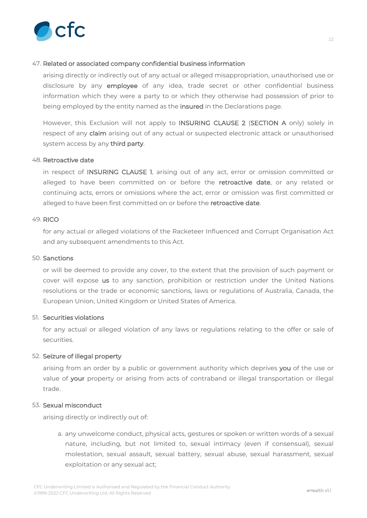

# 47. **Related or associated company confidential business information**

arising directly or indirectly out of any actual or alleged misappropriation, unauthorised use or disclosure by any **employee** of any idea, trade secret or other confidential business information which they were a party to or which they otherwise had possession of prior to being employed by the entity named as the **insured** in the Declarations page.

However, this Exclusion will not apply to **INSURING CLAUSE 2** (**SECTION A** only) solely in respect of any **claim** arising out of any actual or suspected electronic attack or unauthorised system access by any **third party**.

#### 48. **Retroactive date**

in respect of **INSURING CLAUSE 1**, arising out of any act, error or omission committed or alleged to have been committed on or before the **retroactive date**, or any related or continuing acts, errors or omissions where the act, error or omission was first committed or alleged to have been first committed on or before the **retroactive date**.

# 49. **RICO**

for any actual or alleged violations of the Racketeer Influenced and Corrupt Organisation Act and any subsequent amendments to this Act.

#### 50. **Sanctions**

or will be deemed to provide any cover, to the extent that the provision of such payment or cover will expose **us** to any sanction, prohibition or restriction under the United Nations resolutions or the trade or economic sanctions, laws or regulations of Australia, Canada, the European Union, United Kingdom or United States of America.

#### 51. **Securities violations**

for any actual or alleged violation of any laws or regulations relating to the offer or sale of securities.

# 52. **Seizure of illegal property**

arising from an order by a public or government authority which deprives **you** of the use or value of **your** property or arising from acts of contraband or illegal transportation or illegal trade.

# 53. **Sexual misconduct**

arising directly or indirectly out of:

a. any unwelcome conduct, physical acts, gestures or spoken or written words of a sexual nature, including, but not limited to, sexual intimacy (even if consensual), sexual molestation, sexual assault, sexual battery, sexual abuse, sexual harassment, sexual exploitation or any sexual act;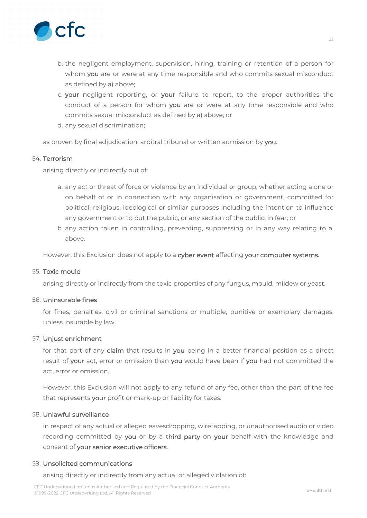

- b. the negligent employment, supervision, hiring, training or retention of a person for whom **you** are or were at any time responsible and who commits sexual misconduct as defined by a) above;
- c. **your** negligent reporting, or **your** failure to report, to the proper authorities the conduct of a person for whom **you** are or were at any time responsible and who commits sexual misconduct as defined by a) above; or
- d. any sexual discrimination;

as proven by final adjudication, arbitral tribunal or written admission by **you**.

#### 54. **Terrorism**

arising directly or indirectly out of:

- a. any act or threat of force or violence by an individual or group, whether acting alone or on behalf of or in connection with any organisation or government, committed for political, religious, ideological or similar purposes including the intention to influence any government or to put the public, or any section of the public, in fear; or
- b. any action taken in controlling, preventing, suppressing or in any way relating to a. above.

However, this Exclusion does not apply to a **cyber event** affecting **your computer systems**.

#### 55. **Toxic mould**

arising directly or indirectly from the toxic properties of any fungus, mould, mildew or yeast.

#### 56. **Uninsurable fines**

for fines, penalties, civil or criminal sanctions or multiple, punitive or exemplary damages, unless insurable by law.

#### 57. **Unjust enrichment**

for that part of any **claim** that results in **you** being in a better financial position as a direct result of **your** act, error or omission than **you** would have been if **you** had not committed the act, error or omission.

However, this Exclusion will not apply to any refund of any fee, other than the part of the fee that represents **your** profit or mark-up or liability for taxes.

# 58. **Unlawful surveillance**

in respect of any actual or alleged eavesdropping, wiretapping, or unauthorised audio or video recording committed by **you** or by a **third party** on **your** behalf with the knowledge and consent of **your senior executive officers**.

#### 59. **Unsolicited communications**

arising directly or indirectly from any actual or alleged violation of: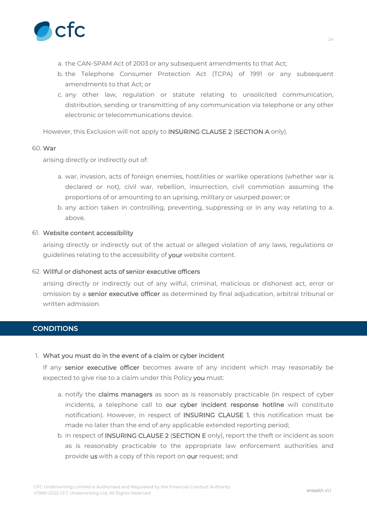

- a. the CAN-SPAM Act of 2003 or any subsequent amendments to that Act;
- b. the Telephone Consumer Protection Act (TCPA) of 1991 or any subsequent amendments to that Act; or
- c. any other law, regulation or statute relating to unsolicited communication, distribution, sending or transmitting of any communication via telephone or any other electronic or telecommunications device.

However, this Exclusion will not apply to **INSURING CLAUSE 2** (**SECTION A** only).

#### 60. **War**

arising directly or indirectly out of:

- a. war, invasion, acts of foreign enemies, hostilities or warlike operations (whether war is declared or not), civil war, rebellion, insurrection, civil commotion assuming the proportions of or amounting to an uprising, military or usurped power; or
- b. any action taken in controlling, preventing, suppressing or in any way relating to a. above.

# 61. **Website content accessibility**

arising directly or indirectly out of the actual or alleged violation of any laws, regulations or guidelines relating to the accessibility of **your** website content.

#### 62. **Willful or dishonest acts of senior executive officers**

arising directly or indirectly out of any wilful, criminal, malicious or dishonest act, error or omission by a **senior executive officer** as determined by final adjudication, arbitral tribunal or written admission.

# **CONDITIONS**

#### 1. **What you must do in the event of a claim or cyber incident**

If any **senior executive officer** becomes aware of any incident which may reasonably be expected to give rise to a claim under this Policy **you** must:

- a. notify the **claims managers** as soon as is reasonably practicable (in respect of cyber incidents, a telephone call to **our cyber incident response hotline** will constitute notification). However, in respect of **INSURING CLAUSE 1**, this notification must be made no later than the end of any applicable extended reporting period;
- b. in respect of **INSURING CLAUSE 2** (**SECTION E** only), report the theft or incident as soon as is reasonably practicable to the appropriate law enforcement authorities and provide **us** with a copy of this report on **our** request; and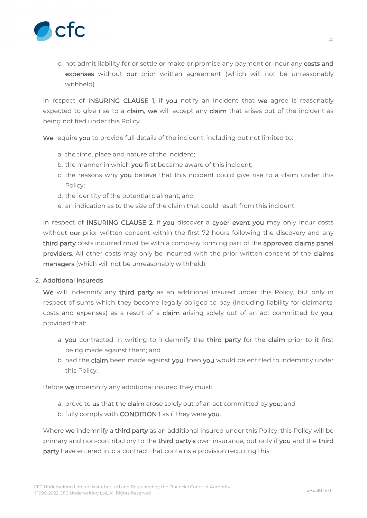

c. not admit liability for or settle or make or promise any payment or incur any **costs and expenses** without **our** prior written agreement (which will not be unreasonably withheld).

In respect of **INSURING CLAUSE 1**, if **you** notify an incident that **we** agree is reasonably expected to give rise to a **claim**, **we** will accept any **claim** that arises out of the incident as being notified under this Policy.

**We** require **you** to provide full details of the incident, including but not limited to:

- a. the time, place and nature of the incident;
- b. the manner in which **you** first became aware of this incident;
- c. the reasons why **you** believe that this incident could give rise to a claim under this Policy;
- d. the identity of the potential claimant; and
- e. an indication as to the size of the claim that could result from this incident.

In respect of **INSURING CLAUSE 2**, if **you** discover a **cyber event you** may only incur costs without **our** prior written consent within the first 72 hours following the discovery and any **third party** costs incurred must be with a company forming part of the **approved claims panel providers**. All other costs may only be incurred with the prior written consent of the **claims managers** (which will not be unreasonably withheld).

### 2. **Additional insureds**

**We** will indemnify any **third party** as an additional insured under this Policy, but only in respect of sums which they become legally obliged to pay (including liability for claimants' costs and expenses) as a result of a **claim** arising solely out of an act committed by **you**, provided that:

- a. **you** contracted in writing to indemnify the **third party** for the **claim** prior to it first being made against them; and
- b. had the **claim** been made against **you**, then **you** would be entitled to indemnity under this Policy.

Before **we** indemnify any additional insured they must:

- a. prove to **us** that the **claim** arose solely out of an act committed by **you**; and
- b. fully comply with **CONDITION 1** as if they were **you**.

Where **we** indemnify a **third party** as an additional insured under this Policy, this Policy will be primary and non-contributory to the **third party's** own insurance, but only if **you** and the **third party** have entered into a contract that contains a provision requiring this.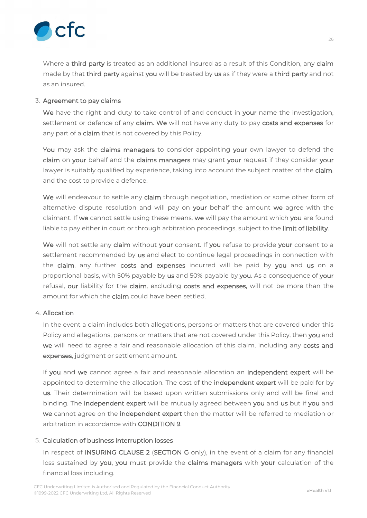

Where a **third party** is treated as an additional insured as a result of this Condition, any **claim** made by that **third party** against **you** will be treated by **us** as if they were a **third party** and not as an insured.

# 3. **Agreement to pay claims**

**We** have the right and duty to take control of and conduct in **your** name the investigation, settlement or defence of any **claim**. **We** will not have any duty to pay **costs and expenses** for any part of a **claim** that is not covered by this Policy.

**You** may ask the **claims managers** to consider appointing **your** own lawyer to defend the **claim** on **your** behalf and the **claims managers** may grant **your** request if they consider **your** lawyer is suitably qualified by experience, taking into account the subject matter of the **claim**, and the cost to provide a defence.

**We** will endeavour to settle any **claim** through negotiation, mediation or some other form of alternative dispute resolution and will pay on **your** behalf the amount **we** agree with the claimant. If **we** cannot settle using these means, **we** will pay the amount which **you** are found liable to pay either in court or through arbitration proceedings, subject to the **limit of liability**.

**We** will not settle any **claim** without **your** consent. If **you** refuse to provide **your** consent to a settlement recommended by **us** and elect to continue legal proceedings in connection with the **claim**, any further **costs and expenses** incurred will be paid by **you** and **us** on a proportional basis, with 50% payable by **us** and 50% payable by **you**. As a consequence of **your** refusal, **our** liability for the **claim**, excluding **costs and expenses**, will not be more than the amount for which the **claim** could have been settled.

# 4. **Allocation**

In the event a claim includes both allegations, persons or matters that are covered under this Policy and allegations, persons or matters that are not covered under this Policy, then **you** and **we** will need to agree a fair and reasonable allocation of this claim, including any **costs and expenses**, judgment or settlement amount.

If **you** and **we** cannot agree a fair and reasonable allocation an **independent expert** will be appointed to determine the allocation. The cost of the **independent expert** will be paid for by **us**. Their determination will be based upon written submissions only and will be final and binding. The **independent expert** will be mutually agreed between **you** and **us** but if **you** and **we** cannot agree on the **independent expert** then the matter will be referred to mediation or arbitration in accordance with **CONDITION 9**.

# 5. **Calculation of business interruption losses**

In respect of **INSURING CLAUSE 2** (**SECTION G** only), in the event of a claim for any financial loss sustained by **you**, **you** must provide the **claims managers** with **your** calculation of the financial loss including.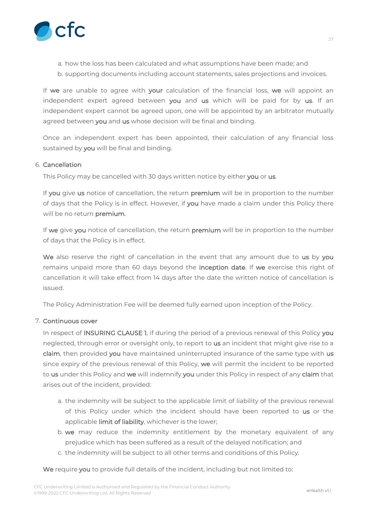

- a. how the loss has been calculated and what assumptions have been made; and
- b. supporting documents including account statements, sales projections and invoices.

If **we** are unable to agree with **your** calculation of the financial loss, **we** will appoint an independent expert agreed between **you** and **us** which will be paid for by **us**. If an independent expert cannot be agreed upon, one will be appointed by an arbitrator mutually agreed between **you** and **us** whose decision will be final and binding.

Once an independent expert has been appointed, their calculation of any financial loss sustained by **you** will be final and binding.

# 6. **Cancellation**

This Policy may be cancelled with 30 days written notice by either **you** or **us**.

If **you** give **us** notice of cancellation, the return **premium** will be in proportion to the number of days that the Policy is in effect. However, if **you** have made a claim under this Policy there will be no return **premium**.

If **we** give **you** notice of cancellation, the return **premium** will be in proportion to the number of days that the Policy is in effect.

**We** also reserve the right of cancellation in the event that any amount due to **us** by **you** remains unpaid more than 60 days beyond the **inception date**. If **we** exercise this right of cancellation it will take effect from 14 days after the date the written notice of cancellation is issued.

The Policy Administration Fee will be deemed fully earned upon inception of the Policy.

# 7. **Continuous cover**

In respect of **INSURING CLAUSE 1**, if during the period of a previous renewal of this Policy **you** neglected, through error or oversight only, to report to **us** an incident that might give rise to a **claim**, then provided **you** have maintained uninterrupted insurance of the same type with **us** since expiry of the previous renewal of this Policy, **we** will permit the incident to be reported to **us** under this Policy and **we** will indemnify **you** under this Policy in respect of any **claim** that arises out of the incident, provided:

- a. the indemnity will be subject to the applicable limit of liability of the previous renewal of this Policy under which the incident should have been reported to **us** or the applicable **limit of liability**, whichever is the lower;
- b. **we** may reduce the indemnity entitlement by the monetary equivalent of any prejudice which has been suffered as a result of the delayed notification; and
- c. the indemnity will be subject to all other terms and conditions of this Policy.

**We** require **you** to provide full details of the incident, including but not limited to: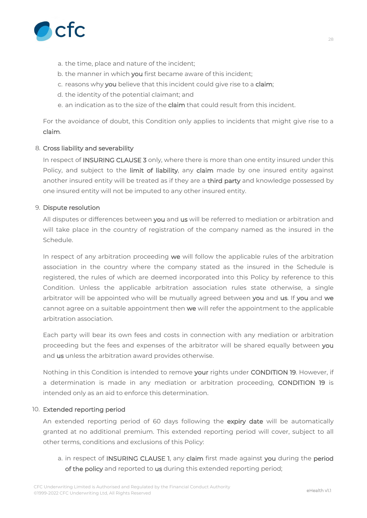

- a. the time, place and nature of the incident;
- b. the manner in which **you** first became aware of this incident;
- c. reasons why **you** believe that this incident could give rise to a **claim**;
- d. the identity of the potential claimant; and
- e. an indication as to the size of the **claim** that could result from this incident.

For the avoidance of doubt, this Condition only applies to incidents that might give rise to a **claim**.

# 8. **Cross liability and severability**

In respect of **INSURING CLAUSE 3** only, where there is more than one entity insured under this Policy, and subject to the **limit of liability**, any **claim** made by one insured entity against another insured entity will be treated as if they are a **third party** and knowledge possessed by one insured entity will not be imputed to any other insured entity.

# 9. **Dispute resolution**

All disputes or differences between **you** and **us** will be referred to mediation or arbitration and will take place in the country of registration of the company named as the insured in the Schedule.

In respect of any arbitration proceeding **we** will follow the applicable rules of the arbitration association in the country where the company stated as the insured in the Schedule is registered, the rules of which are deemed incorporated into this Policy by reference to this Condition. Unless the applicable arbitration association rules state otherwise, a single arbitrator will be appointed who will be mutually agreed between **you** and **us**. If **you** and **we** cannot agree on a suitable appointment then **we** will refer the appointment to the applicable arbitration association.

Each party will bear its own fees and costs in connection with any mediation or arbitration proceeding but the fees and expenses of the arbitrator will be shared equally between **you** and **us** unless the arbitration award provides otherwise.

Nothing in this Condition is intended to remove **your** rights under **CONDITION 19**. However, if a determination is made in any mediation or arbitration proceeding, **CONDITION 19** is intended only as an aid to enforce this determination.

#### 10. **Extended reporting period**

An extended reporting period of 60 days following the **expiry date** will be automatically granted at no additional premium. This extended reporting period will cover, subject to all other terms, conditions and exclusions of this Policy:

a. in respect of **INSURING CLAUSE 1**, any **claim** first made against **you** during the **period of the policy** and reported to **us** during this extended reporting period;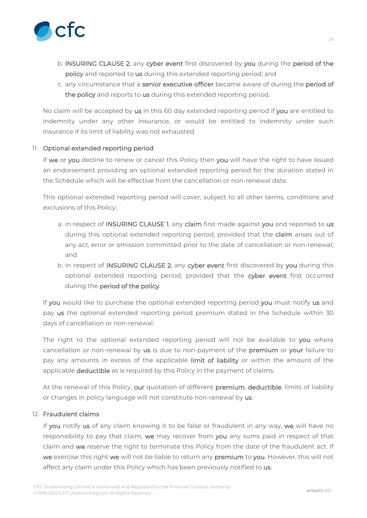

- b. **INSURING CLAUSE 2**, any **cyber event** first discovered by **you** during the **period of the policy** and reported to **us** during this extended reporting period; and
- c. any circumstance that a **senior executive officer** became aware of during the **period of the policy** and reports to **us** during this extended reporting period.

No claim will be accepted by **us** in this 60 day extended reporting period if **you** are entitled to indemnity under any other insurance, or would be entitled to indemnity under such insurance if its limit of liability was not exhausted.

# 11. **Optional extended reporting period**

If **we** or **you** decline to renew or cancel this Policy then **you** will have the right to have issued an endorsement providing an optional extended reporting period for the duration stated in the Schedule which will be effective from the cancellation or non-renewal date.

This optional extended reporting period will cover, subject to all other terms, conditions and exclusions of this Policy:

- a. in respect of **INSURING CLAUSE 1**, any **claim** first made against **you** and reported to **us** during this optional extended reporting period, provided that the **claim** arises out of any act, error or omission committed prior to the date of cancellation or non-renewal; and
- b. in respect of **INSURING CLAUSE 2**, any **cyber event** first discovered by **you** during this optional extended reporting period, provided that the **cyber event** first occurred during the **period of the policy**.

If **you** would like to purchase the optional extended reporting period **you** must notify **us** and pay **us** the optional extended reporting period premium stated in the Schedule within 30 days of cancellation or non-renewal.

The right to the optional extended reporting period will not be available to **you** where cancellation or non-renewal by **us** is due to non-payment of the **premium** or **your** failure to pay any amounts in excess of the applicable **limit of liability** or within the amount of the applicable **deductible** as is required by this Policy in the payment of claims.

At the renewal of this Policy, **our** quotation of different **premium**, **deductible**, limits of liability or changes in policy language will not constitute non-renewal by **us**.

# 12. **Fraudulent claims**

If **you** notify **us** of any claim knowing it to be false or fraudulent in any way, **we** will have no responsibility to pay that claim, **we** may recover from **you** any sums paid in respect of that claim and **we** reserve the right to terminate this Policy from the date of the fraudulent act. If **we** exercise this right **we** will not be liable to return any **premium** to **you**. However, this will not affect any claim under this Policy which has been previously notified to **us**.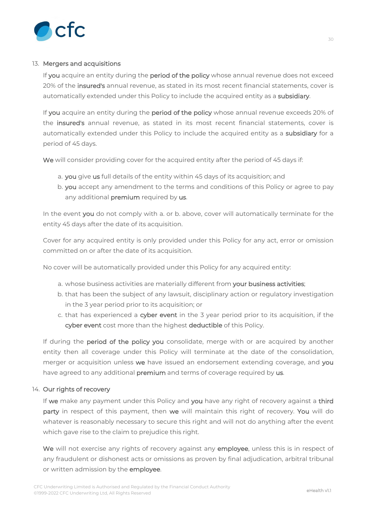

# 13. **Mergers and acquisitions**

If **you** acquire an entity during the **period of the policy** whose annual revenue does not exceed 20% of the **insured's** annual revenue, as stated in its most recent financial statements, cover is automatically extended under this Policy to include the acquired entity as a **subsidiary**.

If **you** acquire an entity during the **period of the policy** whose annual revenue exceeds 20% of the **insured's** annual revenue, as stated in its most recent financial statements, cover is automatically extended under this Policy to include the acquired entity as a **subsidiary** for a period of 45 days.

**We** will consider providing cover for the acquired entity after the period of 45 days if:

- a. **you** give **us** full details of the entity within 45 days of its acquisition; and
- b. **you** accept any amendment to the terms and conditions of this Policy or agree to pay any additional **premium** required by **us**.

In the event **you** do not comply with a. or b. above, cover will automatically terminate for the entity 45 days after the date of its acquisition.

Cover for any acquired entity is only provided under this Policy for any act, error or omission committed on or after the date of its acquisition.

No cover will be automatically provided under this Policy for any acquired entity:

- a. whose business activities are materially different from **your business activities**;
- b. that has been the subject of any lawsuit, disciplinary action or regulatory investigation in the 3 year period prior to its acquisition; or
- c. that has experienced a **cyber event** in the 3 year period prior to its acquisition, if the **cyber event** cost more than the highest **deductible** of this Policy.

If during the **period of the policy you** consolidate, merge with or are acquired by another entity then all coverage under this Policy will terminate at the date of the consolidation, merger or acquisition unless **we** have issued an endorsement extending coverage, and **you** have agreed to any additional **premium** and terms of coverage required by **us**.

# 14. **Our rights of recovery**

If **we** make any payment under this Policy and **you** have any right of recovery against a **third party** in respect of this payment, then **we** will maintain this right of recovery. **You** will do whatever is reasonably necessary to secure this right and will not do anything after the event which gave rise to the claim to prejudice this right.

**We** will not exercise any rights of recovery against any **employee**, unless this is in respect of any fraudulent or dishonest acts or omissions as proven by final adjudication, arbitral tribunal or written admission by the **employee**.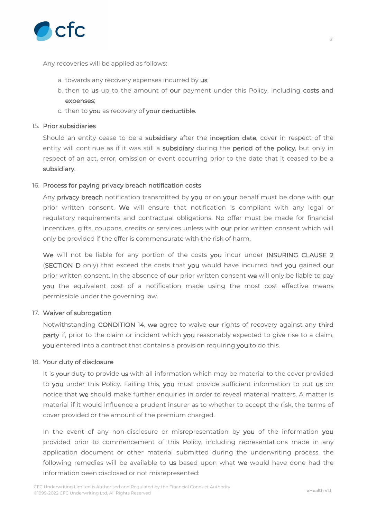

Any recoveries will be applied as follows:

- a. towards any recovery expenses incurred by **us**;
- b. then to **us** up to the amount of **our** payment under this Policy, including **costs and expenses**;
- c. then to **you** as recovery of **your deductible**.

#### 15. **Prior subsidiaries**

Should an entity cease to be a **subsidiary** after the **inception date**, cover in respect of the entity will continue as if it was still a **subsidiary** during the **period of the policy**, but only in respect of an act, error, omission or event occurring prior to the date that it ceased to be a **subsidiary**.

# 16. **Process for paying privacy breach notification costs**

Any **privacy breach** notification transmitted by **you** or on **your** behalf must be done with **our** prior written consent. **We** will ensure that notification is compliant with any legal or regulatory requirements and contractual obligations. No offer must be made for financial incentives, gifts, coupons, credits or services unless with **our** prior written consent which will only be provided if the offer is commensurate with the risk of harm.

**We** will not be liable for any portion of the costs **you** incur under **INSURING CLAUSE 2** (**SECTION D** only) that exceed the costs that **you** would have incurred had **you** gained **our** prior written consent. In the absence of **our** prior written consent **we** will only be liable to pay **you** the equivalent cost of a notification made using the most cost effective means permissible under the governing law.

#### 17. **Waiver of subrogation**

Notwithstanding **CONDITION 14**, **we** agree to waive **our** rights of recovery against any **third party** if, prior to the claim or incident which **you** reasonably expected to give rise to a claim, **you** entered into a contract that contains a provision requiring **you** to do this.

#### 18. **Your duty of disclosure**

It is **your** duty to provide **us** with all information which may be material to the cover provided to **you** under this Policy. Failing this, **you** must provide sufficient information to put **us** on notice that **we** should make further enquiries in order to reveal material matters. A matter is material if it would influence a prudent insurer as to whether to accept the risk, the terms of cover provided or the amount of the premium charged.

In the event of any non-disclosure or misrepresentation by **you** of the information **you** provided prior to commencement of this Policy, including representations made in any application document or other material submitted during the underwriting process, the following remedies will be available to **us** based upon what **we** would have done had the information been disclosed or not misrepresented: